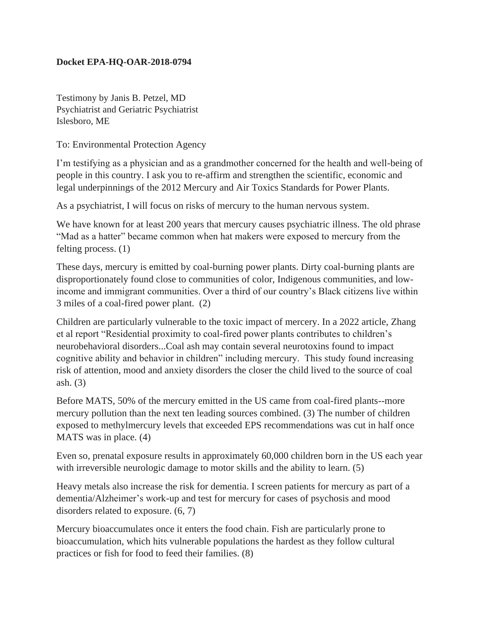## **Docket EPA-HQ-OAR-2018-0794**

Testimony by Janis B. Petzel, MD Psychiatrist and Geriatric Psychiatrist Islesboro, ME

To: Environmental Protection Agency

I'm testifying as a physician and as a grandmother concerned for the health and well-being of people in this country. I ask you to re-affirm and strengthen the scientific, economic and legal underpinnings of the 2012 Mercury and Air Toxics Standards for Power Plants.

As a psychiatrist, I will focus on risks of mercury to the human nervous system.

We have known for at least 200 years that mercury causes psychiatric illness. The old phrase "Mad as a hatter" became common when hat makers were exposed to mercury from the felting process. (1)

These days, mercury is emitted by coal-burning power plants. Dirty coal-burning plants are disproportionately found close to communities of color, Indigenous communities, and lowincome and immigrant communities. Over a third of our country's Black citizens live within 3 miles of a coal-fired power plant. (2)

Children are particularly vulnerable to the toxic impact of mercery. In a 2022 article, Zhang et al report "Residential proximity to coal-fired power plants contributes to children's neurobehavioral disorders...Coal ash may contain several neurotoxins found to impact cognitive ability and behavior in children" including mercury. This study found increasing risk of attention, mood and anxiety disorders the closer the child lived to the source of coal ash. (3)

Before MATS, 50% of the mercury emitted in the US came from coal-fired plants--more mercury pollution than the next ten leading sources combined. (3) The number of children exposed to methylmercury levels that exceeded EPS recommendations was cut in half once MATS was in place. (4)

Even so, prenatal exposure results in approximately 60,000 children born in the US each year with irreversible neurologic damage to motor skills and the ability to learn. (5)

Heavy metals also increase the risk for dementia. I screen patients for mercury as part of a dementia/Alzheimer's work-up and test for mercury for cases of psychosis and mood disorders related to exposure. (6, 7)

Mercury bioaccumulates once it enters the food chain. Fish are particularly prone to bioaccumulation, which hits vulnerable populations the hardest as they follow cultural practices or fish for food to feed their families. (8)